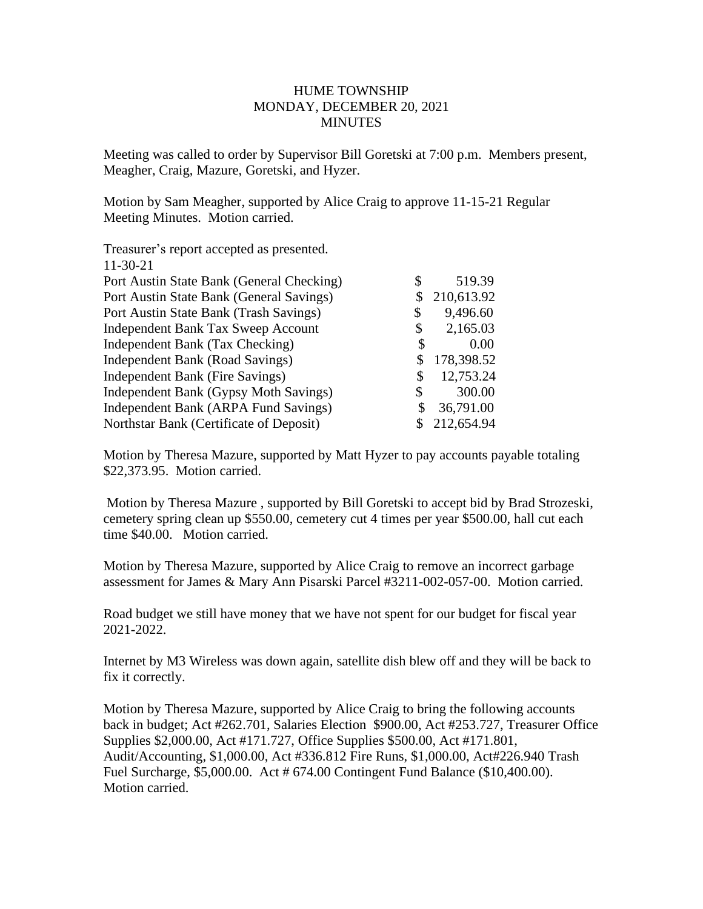## HUME TOWNSHIP MONDAY, DECEMBER 20, 2021 MINUTES

Meeting was called to order by Supervisor Bill Goretski at 7:00 p.m. Members present, Meagher, Craig, Mazure, Goretski, and Hyzer.

Motion by Sam Meagher, supported by Alice Craig to approve 11-15-21 Regular Meeting Minutes. Motion carried.

| Treasurer's report accepted as presented. |                  |
|-------------------------------------------|------------------|
| $11-30-21$                                |                  |
| Port Austin State Bank (General Checking) | \$<br>519.39     |
| Port Austin State Bank (General Savings)  | 210,613.92       |
| Port Austin State Bank (Trash Savings)    | \$<br>9,496.60   |
| Independent Bank Tax Sweep Account        | \$<br>2,165.03   |
| Independent Bank (Tax Checking)           | \$<br>0.00       |
| Independent Bank (Road Savings)           | \$<br>178,398.52 |
| Independent Bank (Fire Savings)           | \$<br>12,753.24  |
| Independent Bank (Gypsy Moth Savings)     | \$<br>300.00     |
| Independent Bank (ARPA Fund Savings)      | \$<br>36,791.00  |
| Northstar Bank (Certificate of Deposit)   | 212,654.94       |
|                                           |                  |

Motion by Theresa Mazure, supported by Matt Hyzer to pay accounts payable totaling \$22,373.95. Motion carried.

Motion by Theresa Mazure , supported by Bill Goretski to accept bid by Brad Strozeski, cemetery spring clean up \$550.00, cemetery cut 4 times per year \$500.00, hall cut each time \$40.00. Motion carried.

Motion by Theresa Mazure, supported by Alice Craig to remove an incorrect garbage assessment for James & Mary Ann Pisarski Parcel #3211-002-057-00. Motion carried.

Road budget we still have money that we have not spent for our budget for fiscal year 2021-2022.

Internet by M3 Wireless was down again, satellite dish blew off and they will be back to fix it correctly.

Motion by Theresa Mazure, supported by Alice Craig to bring the following accounts back in budget; Act #262.701, Salaries Election \$900.00, Act #253.727, Treasurer Office Supplies \$2,000.00, Act #171.727, Office Supplies \$500.00, Act #171.801, Audit/Accounting, \$1,000.00, Act #336.812 Fire Runs, \$1,000.00, Act#226.940 Trash Fuel Surcharge, \$5,000.00. Act # 674.00 Contingent Fund Balance (\$10,400.00). Motion carried.